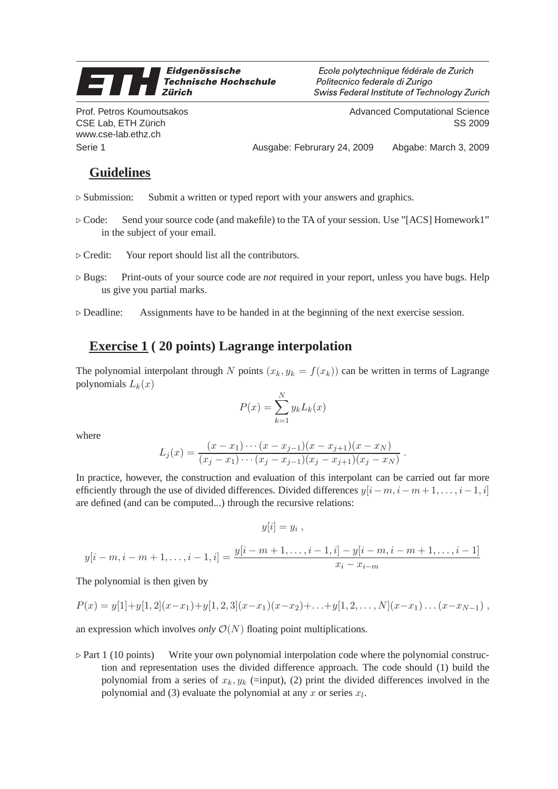## Eidgenössische 9 **Technische Hochschule Zürich**

Ecole polytechnique fédérale de Zurich Politecnico federale di Zurigo Swiss Federal Institute of Technology Zurich

Prof. Petros Koumoutsakos CSE Lab, ETH Zürich www.cse-lab.ethz.ch

Advanced Computational Science SS 2009

Serie 1 **Ausgabe: Februrary 24, 2009** Abgabe: March 3, 2009 Abgabe: March 3, 2009

## **Guidelines**

- ⊲ Submission: Submit a written or typed report with your answers and graphics.
- ⊲ Code: Send your source code (and makefile) to the TA of your session. Use "[ACS] Homework1" in the subject of your email.
- ⊲ Credit: Your report should list all the contributors.
- ⊲ Bugs: Print-outs of your source code are *not* required in your report, unless you have bugs. Help us give you partial marks.
- ⊲ Deadline: Assignments have to be handed in at the beginning of the next exercise session.

## **Exercise 1 ( 20 points) Lagrange interpolation**

The polynomial interpolant through N points  $(x_k, y_k = f(x_k))$  can be written in terms of Lagrange polynomials  $L_k(x)$ 

$$
P(x) = \sum_{k=1}^{N} y_k L_k(x)
$$

where

$$
L_j(x) = \frac{(x-x_1)\cdots(x-x_{j-1})(x-x_{j+1})(x-x_N)}{(x_j-x_1)\cdots(x_j-x_{j-1})(x_j-x_{j+1})(x_j-x_N)}.
$$

In practice, however, the construction and evaluation of this interpolant can be carried out far more efficiently through the use of divided differences. Divided differences  $y[i-m,i-m+1,\ldots,i-1,i]$ are defined (and can be computed...) through the recursive relations:

$$
y[i] = y_i ,
$$

$$
y[i-m,i-m+1,\ldots,i-1,i] = \frac{y[i-m+1,\ldots,i-1,i] - y[i-m,i-m+1,\ldots,i-1]}{x_i - x_{i-m}}
$$

The polynomial is then given by

$$
P(x) = y[1] + y[1,2](x-x_1) + y[1,2,3](x-x_1)(x-x_2) + \ldots + y[1,2,\ldots,N](x-x_1)\ldots(x-x_{N-1}),
$$

an expression which involves *only*  $\mathcal{O}(N)$  floating point multiplications.

⊲ Part 1 (10 points) Write your own polynomial interpolation code where the polynomial construction and representation uses the divided difference approach. The code should (1) build the polynomial from a series of  $x_k, y_k$  (=input), (2) print the divided differences involved in the polynomial and (3) evaluate the polynomial at any x or series  $x_l$ .